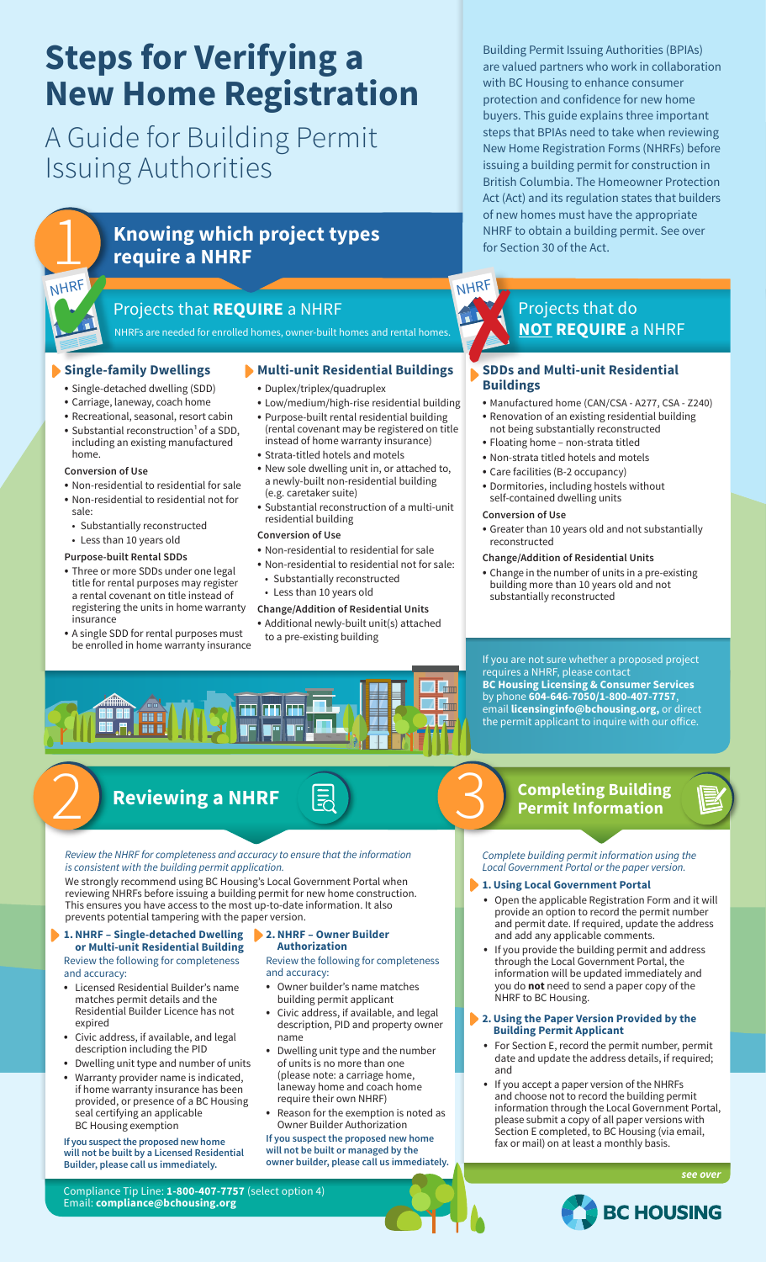# **Steps for Verifying a New Home Registration**

A Guide for Building Permit Issuing Authorities



# **Knowing which project types** require a NHRF

## Projects that **REQUIRE** a NHRF

NHRFs are needed for enrolled homes, owner-built homes and rental homes.

#### **Single-family Dwellings**

- Single-detached dwelling (SDD)
- Carriage, laneway, coach home
- Recreational, seasonal, resort cabin
- Substantial reconstruction<sup>1</sup> of a SDD. including an existing manufactured home.

#### **Conversion of Use**

i

- Non-residential to residential for sale • Non-residential to residential not for
- sale: • Substantially reconstructed
- 
- Less than 10 years old

#### **Purpose-built Rental SDDs**

- Three or more SDDs under one legal title for rental purposes may register a rental covenant on title instead of registering the units in home warranty insurance
- A single SDD for rental purposes must be enrolled in home warranty insurance

#### **Multi-unit Residential Buildings**

- Duplex/triplex/quadruplex
- Low/medium/high-rise residential building
- Purpose-built rental residential building (rental covenant may be registered on title instead of home warranty insurance)
- Strata-titled hotels and motels
- New sole dwelling unit in, or attached to, a newly-built non-residential building (e.g. caretaker suite)
- Substantial reconstruction of a multi-unit residential building

#### **Conversion of Use**

- Non-residential to residential for sale
- Non-residential to residential not for sale:
- Substantially reconstructed
- Less than 10 years old

#### **Change/Addition of Residential Units**

• Additional newly-built unit(s) attached to a pre-existing building

Building Permit Issuing Authorities (BPIAs) are valued partners who work in collaboration with BC Housing to enhance consumer protection and confidence for new home buyers. This guide explains three important steps that BPIAs need to take when reviewing New Home Registration Forms (NHRFs) before issuing a building permit for construction in British Columbia. The Homeowner Protection Act (Act) and its regulation states that builders of new homes must have the appropriate NHRF to obtain a building permit. See over for Section 30 of the Act.

## Projects that do **NOT REQUIRE** a NHRF 7

#### **SDDs and Multi-unit Residential Buildings**

- Manufactured home (CAN/CSA A277, CSA Z240)
- Renovation of an existing residential building not being substantially reconstructed
- Floating home non-strata titled
- Non-strata titled hotels and motels
- Care facilities (B-2 occupancy)
	- Dormitories, including hostels without self-contained dwelling units
- **Conversion of Use**

NHRF

- Greater than 10 years old and not substantially reconstructed
- **Change/Addition of Residential Units**
- Change in the number of units in a pre-existing building more than 10 years old and not substantially reconstructed

If you are not sure whether a proposed project requires a NHRF, please contact **BC Housing Licensing & Consumer Services**  by phone **604-646-7050/1-800-407-7757**, email **licensinginfo@bchousing.org,** or direct the permit applicant to inquire with our office.

# $2$  Reviewing a NHRF  $\bigcirc$

*Review the NHRF for completeness and accuracy to ensure that the information is consistent with the building permit application.*

m

in in

We strongly recommend using BC Housing's Local Government Portal when reviewing NHRFs before issuing a building permit for new home construction. This ensures you have access to the most up-to-date information. It also prevents potential tampering with the paper version.

#### **1.NHRF – Single-detached Dwelling or Multi-unit Residential Building**

Review the following for completeness and accuracy:

- Licensed Residential Builder's name matches permit details and the Residential Builder Licence has not expired
- Civic address, if available, and legal description including the PID
- Dwelling unit type and number of units • Warranty provider name is indicated, if home warranty insurance has been provided, or presence of a BC Housing seal certifying an applicable BC Housing exemption

**If you suspect the proposed new home will not be built by a Licensed Residential Builder, please call us immediately.**

#### **2.NHRF – Owner Builder Authorization**

Review the following for completeness and accuracy:

- Owner builder's name matches building permit applicant
- Civic address, if available, and legal description, PID and property owner name
- Dwelling unit type and the number of units is no more than one (please note: a carriage home, laneway home and coach home require their own NHRF)
- Reason for the exemption is noted as Owner Builder Authorization

#### **If you suspect the proposed new home will not be built or managed by the owner builder, please call us immediately.**

#### **Reviewing a NHRF EQ Completing Building Completing Building Completing Building Permit Information**

*Complete building permit information using the*   *Local Government Portal or the paper version.* 

#### **1.Using Local Government Portal**

- Open the applicable Registration Form and it will provide an option to record the permit number and permit date. If required, update the address and add any applicable comments.
- If you provide the building permit and address through the Local Government Portal, the information will be updated immediately and you do **not** need to send a paper copy of the NHRF to BC Housing.

#### **2.Using the Paper Version Provided by the Building Permit Applicant**

- For Section E, record the permit number, permit date and update the address details, if required; and
- If you accept a paper version of the NHRFs and choose not to record the building permit information through the Local Government Portal, please submit a copy of all paper versions with Section E completed, to BC Housing (via email, fax or mail) on at least a monthly basis.

*see over*